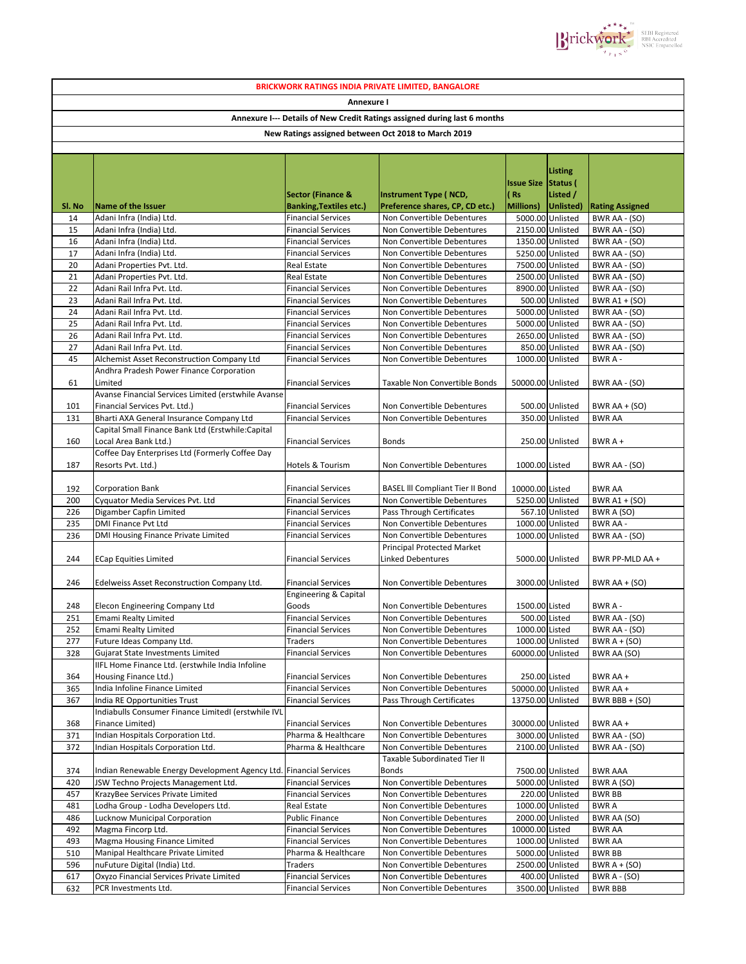| <b>BRICKWORK RATINGS INDIA PRIVATE LIMITED, BANGALORE</b>                                                                                      |                                                                           |                                                        |                                                               |                   |                                      |                                |  |  |  |  |  |  |  |                              |                              |                                    |                            |  |  |  |  |
|------------------------------------------------------------------------------------------------------------------------------------------------|---------------------------------------------------------------------------|--------------------------------------------------------|---------------------------------------------------------------|-------------------|--------------------------------------|--------------------------------|--|--|--|--|--|--|--|------------------------------|------------------------------|------------------------------------|----------------------------|--|--|--|--|
| Annexure I<br>Annexure I--- Details of New Credit Ratings assigned during last 6 months<br>New Ratings assigned between Oct 2018 to March 2019 |                                                                           |                                                        |                                                               |                   |                                      |                                |  |  |  |  |  |  |  |                              |                              |                                    |                            |  |  |  |  |
|                                                                                                                                                |                                                                           |                                                        |                                                               |                   |                                      |                                |  |  |  |  |  |  |  |                              |                              |                                    |                            |  |  |  |  |
|                                                                                                                                                |                                                                           |                                                        |                                                               |                   |                                      |                                |  |  |  |  |  |  |  | <b>Sector (Finance &amp;</b> | <b>Instrument Type (NCD,</b> | <b>Issue Size Status (</b><br>(Rs) | <b>Listing</b><br>Listed / |  |  |  |  |
| Sl. No                                                                                                                                         | <b>Name of the Issuer</b>                                                 | <b>Banking, Textiles etc.)</b>                         | Preference shares, CP, CD etc.)                               | Millions)         | Unlisted)                            | <b>Rating Assigned</b>         |  |  |  |  |  |  |  |                              |                              |                                    |                            |  |  |  |  |
| 14<br>15                                                                                                                                       | Adani Infra (India) Ltd.<br>Adani Infra (India) Ltd.                      | <b>Financial Services</b><br><b>Financial Services</b> | Non Convertible Debentures<br>Non Convertible Debentures      |                   | 5000.00 Unlisted<br>2150.00 Unlisted | BWR AA - (SO)<br>BWR AA - (SO) |  |  |  |  |  |  |  |                              |                              |                                    |                            |  |  |  |  |
| 16                                                                                                                                             | Adani Infra (India) Ltd.                                                  | <b>Financial Services</b>                              | Non Convertible Debentures                                    |                   | 1350.00 Unlisted                     | BWR AA - (SO)                  |  |  |  |  |  |  |  |                              |                              |                                    |                            |  |  |  |  |
| 17                                                                                                                                             | Adani Infra (India) Ltd.                                                  | <b>Financial Services</b>                              | Non Convertible Debentures                                    |                   | 5250.00 Unlisted                     | BWR AA - (SO)                  |  |  |  |  |  |  |  |                              |                              |                                    |                            |  |  |  |  |
| 20                                                                                                                                             | Adani Properties Pvt. Ltd.                                                | <b>Real Estate</b>                                     | Non Convertible Debentures                                    |                   | 7500.00 Unlisted                     | BWR AA - (SO)                  |  |  |  |  |  |  |  |                              |                              |                                    |                            |  |  |  |  |
| 21                                                                                                                                             | Adani Properties Pvt. Ltd.                                                | <b>Real Estate</b>                                     | Non Convertible Debentures                                    |                   | 2500.00 Unlisted                     | BWR AA - (SO)                  |  |  |  |  |  |  |  |                              |                              |                                    |                            |  |  |  |  |
| 22                                                                                                                                             | Adani Rail Infra Pvt. Ltd.                                                | <b>Financial Services</b>                              | Non Convertible Debentures                                    |                   | 8900.00 Unlisted                     | BWR AA - (SO)                  |  |  |  |  |  |  |  |                              |                              |                                    |                            |  |  |  |  |
| 23                                                                                                                                             | Adani Rail Infra Pvt. Ltd.                                                | <b>Financial Services</b>                              | Non Convertible Debentures                                    |                   | 500.00 Unlisted                      | <b>BWR A1 + (SO)</b>           |  |  |  |  |  |  |  |                              |                              |                                    |                            |  |  |  |  |
| 24                                                                                                                                             | Adani Rail Infra Pvt. Ltd.                                                | <b>Financial Services</b>                              | Non Convertible Debentures                                    |                   | 5000.00 Unlisted                     | BWR AA - (SO)                  |  |  |  |  |  |  |  |                              |                              |                                    |                            |  |  |  |  |
| 25<br>26                                                                                                                                       | Adani Rail Infra Pvt. Ltd.<br>Adani Rail Infra Pvt. Ltd.                  | <b>Financial Services</b><br><b>Financial Services</b> | Non Convertible Debentures<br>Non Convertible Debentures      |                   | 5000.00 Unlisted<br>2650.00 Unlisted | BWR AA - (SO)<br>BWR AA - (SO) |  |  |  |  |  |  |  |                              |                              |                                    |                            |  |  |  |  |
| 27                                                                                                                                             | Adani Rail Infra Pvt. Ltd.                                                | <b>Financial Services</b>                              | Non Convertible Debentures                                    |                   | 850.00 Unlisted                      | BWR AA - (SO)                  |  |  |  |  |  |  |  |                              |                              |                                    |                            |  |  |  |  |
| 45                                                                                                                                             | Alchemist Asset Reconstruction Company Ltd                                | <b>Financial Services</b>                              | Non Convertible Debentures                                    |                   | 1000.00 Unlisted                     | BWR A-                         |  |  |  |  |  |  |  |                              |                              |                                    |                            |  |  |  |  |
|                                                                                                                                                | Andhra Pradesh Power Finance Corporation                                  |                                                        |                                                               |                   |                                      |                                |  |  |  |  |  |  |  |                              |                              |                                    |                            |  |  |  |  |
| 61                                                                                                                                             | Limited                                                                   | <b>Financial Services</b>                              | <b>Taxable Non Convertible Bonds</b>                          | 50000.00 Unlisted |                                      | BWR AA - (SO)                  |  |  |  |  |  |  |  |                              |                              |                                    |                            |  |  |  |  |
|                                                                                                                                                | Avanse Financial Services Limited (erstwhile Avanse                       |                                                        |                                                               |                   |                                      |                                |  |  |  |  |  |  |  |                              |                              |                                    |                            |  |  |  |  |
| 101                                                                                                                                            | Financial Services Pvt. Ltd.)                                             | <b>Financial Services</b>                              | Non Convertible Debentures                                    |                   | 500.00 Unlisted                      | BWR AA $+$ (SO)                |  |  |  |  |  |  |  |                              |                              |                                    |                            |  |  |  |  |
| 131                                                                                                                                            | Bharti AXA General Insurance Company Ltd                                  | <b>Financial Services</b>                              | Non Convertible Debentures                                    |                   | 350.00 Unlisted                      | <b>BWR AA</b>                  |  |  |  |  |  |  |  |                              |                              |                                    |                            |  |  |  |  |
|                                                                                                                                                | Capital Small Finance Bank Ltd (Erstwhile:Capital                         |                                                        |                                                               |                   |                                      |                                |  |  |  |  |  |  |  |                              |                              |                                    |                            |  |  |  |  |
| 160                                                                                                                                            | Local Area Bank Ltd.)<br>Coffee Day Enterprises Ltd (Formerly Coffee Day  | <b>Financial Services</b>                              | <b>Bonds</b>                                                  |                   | 250.00 Unlisted                      | $BWRA +$                       |  |  |  |  |  |  |  |                              |                              |                                    |                            |  |  |  |  |
| 187                                                                                                                                            | Resorts Pvt. Ltd.)                                                        | <b>Hotels &amp; Tourism</b>                            | Non Convertible Debentures                                    | 1000.00 Listed    |                                      | BWR AA - (SO)                  |  |  |  |  |  |  |  |                              |                              |                                    |                            |  |  |  |  |
| 192                                                                                                                                            | <b>Corporation Bank</b>                                                   | <b>Financial Services</b>                              | <b>BASEL III Compliant Tier II Bond</b>                       | 10000.00 Listed   |                                      | <b>BWR AA</b>                  |  |  |  |  |  |  |  |                              |                              |                                    |                            |  |  |  |  |
| 200                                                                                                                                            | Cyquator Media Services Pvt. Ltd                                          | <b>Financial Services</b>                              | Non Convertible Debentures                                    |                   | 5250.00 Unlisted                     | BWR A1 + (SO)                  |  |  |  |  |  |  |  |                              |                              |                                    |                            |  |  |  |  |
| 226                                                                                                                                            | Digamber Capfin Limited                                                   | <b>Financial Services</b>                              | Pass Through Certificates                                     |                   | 567.10 Unlisted                      | BWR A (SO)                     |  |  |  |  |  |  |  |                              |                              |                                    |                            |  |  |  |  |
| 235                                                                                                                                            | <b>DMI Finance Pvt Ltd</b>                                                | <b>Financial Services</b>                              | Non Convertible Debentures                                    |                   | 1000.00 Unlisted                     | <b>BWR AA -</b>                |  |  |  |  |  |  |  |                              |                              |                                    |                            |  |  |  |  |
| 236                                                                                                                                            | DMI Housing Finance Private Limited                                       | <b>Financial Services</b>                              | Non Convertible Debentures                                    |                   | 1000.00 Unlisted                     | BWR AA - (SO)                  |  |  |  |  |  |  |  |                              |                              |                                    |                            |  |  |  |  |
| 244                                                                                                                                            | <b>ECap Equities Limited</b>                                              | <b>Financial Services</b>                              | <b>Principal Protected Market</b><br><b>Linked Debentures</b> |                   | 5000.00 Unlisted                     | BWR PP-MLD AA +                |  |  |  |  |  |  |  |                              |                              |                                    |                            |  |  |  |  |
| 246                                                                                                                                            | Edelweiss Asset Reconstruction Company Ltd.                               | <b>Financial Services</b>                              | Non Convertible Debentures                                    |                   | 3000.00 Unlisted                     | BWR AA + (SO)                  |  |  |  |  |  |  |  |                              |                              |                                    |                            |  |  |  |  |
|                                                                                                                                                |                                                                           | <b>Engineering &amp; Capital</b>                       |                                                               |                   |                                      |                                |  |  |  |  |  |  |  |                              |                              |                                    |                            |  |  |  |  |
| 248                                                                                                                                            | Elecon Engineering Company Ltd                                            | Goods                                                  | Non Convertible Debentures                                    | 1500.00 Listed    |                                      | BWR A-                         |  |  |  |  |  |  |  |                              |                              |                                    |                            |  |  |  |  |
| 251                                                                                                                                            | Emami Realty Limited                                                      | <b>Financial Services</b>                              | Non Convertible Debentures                                    | 500.00 Listed     |                                      | BWR AA - (SO)                  |  |  |  |  |  |  |  |                              |                              |                                    |                            |  |  |  |  |
| 252                                                                                                                                            | <b>Emami Realty Limited</b>                                               | <b>Financial Services</b>                              | Non Convertible Debentures                                    | 1000.00 Listed    |                                      | BWR AA - (SO)                  |  |  |  |  |  |  |  |                              |                              |                                    |                            |  |  |  |  |
| 277                                                                                                                                            | Future Ideas Company Ltd.                                                 | Traders                                                | Non Convertible Debentures                                    |                   | 1000.00 Unlisted                     | BWR $A + (SO)$                 |  |  |  |  |  |  |  |                              |                              |                                    |                            |  |  |  |  |
| 328                                                                                                                                            | Gujarat State Investments Limited                                         | <b>Financial Services</b>                              | Non Convertible Debentures                                    | 60000.00 Unlisted |                                      | BWR AA (SO)                    |  |  |  |  |  |  |  |                              |                              |                                    |                            |  |  |  |  |
| 364                                                                                                                                            | IIFL Home Finance Ltd. (erstwhile India Infoline<br>Housing Finance Ltd.) | <b>Financial Services</b>                              | Non Convertible Debentures                                    | 250.00 Listed     |                                      | BWR AA +                       |  |  |  |  |  |  |  |                              |                              |                                    |                            |  |  |  |  |
| 365                                                                                                                                            | India Infoline Finance Limited                                            | <b>Financial Services</b>                              | Non Convertible Debentures                                    | 50000.00 Unlisted |                                      | BWR AA +                       |  |  |  |  |  |  |  |                              |                              |                                    |                            |  |  |  |  |
| 367                                                                                                                                            | India RE Opportunities Trust                                              | <b>Financial Services</b>                              | Pass Through Certificates                                     | 13750.00 Unlisted |                                      | BWR BBB + $(SO)$               |  |  |  |  |  |  |  |                              |                              |                                    |                            |  |  |  |  |
|                                                                                                                                                | Indiabulls Consumer Finance LimitedI (erstwhile IVL                       |                                                        |                                                               |                   |                                      |                                |  |  |  |  |  |  |  |                              |                              |                                    |                            |  |  |  |  |
| 368<br>371                                                                                                                                     | Finance Limited)<br>Indian Hospitals Corporation Ltd.                     | <b>Financial Services</b><br>Pharma & Healthcare       | Non Convertible Debentures<br>Non Convertible Debentures      | 30000.00 Unlisted | 3000.00 Unlisted                     | BWR AA +<br>BWR AA - (SO)      |  |  |  |  |  |  |  |                              |                              |                                    |                            |  |  |  |  |
| 372                                                                                                                                            | Indian Hospitals Corporation Ltd.                                         | Pharma & Healthcare                                    | Non Convertible Debentures                                    |                   | 2100.00 Unlisted                     | BWR AA - (SO)                  |  |  |  |  |  |  |  |                              |                              |                                    |                            |  |  |  |  |
|                                                                                                                                                |                                                                           |                                                        | Taxable Subordinated Tier II                                  |                   |                                      |                                |  |  |  |  |  |  |  |                              |                              |                                    |                            |  |  |  |  |
| 374                                                                                                                                            | Indian Renewable Energy Development Agency Ltd. Financial Services        |                                                        | <b>Bonds</b>                                                  |                   | 7500.00 Unlisted                     | <b>BWR AAA</b>                 |  |  |  |  |  |  |  |                              |                              |                                    |                            |  |  |  |  |
| 420                                                                                                                                            | JSW Techno Projects Management Ltd.                                       | <b>Financial Services</b>                              | Non Convertible Debentures                                    |                   | 5000.00 Unlisted                     | BWR A (SO)                     |  |  |  |  |  |  |  |                              |                              |                                    |                            |  |  |  |  |
| 457                                                                                                                                            | KrazyBee Services Private Limited                                         | <b>Financial Services</b>                              | Non Convertible Debentures                                    |                   | 220.00 Unlisted                      | <b>BWR BB</b>                  |  |  |  |  |  |  |  |                              |                              |                                    |                            |  |  |  |  |
| 481                                                                                                                                            | Lodha Group - Lodha Developers Ltd.                                       | Real Estate                                            | Non Convertible Debentures                                    |                   | 1000.00 Unlisted                     | <b>BWRA</b>                    |  |  |  |  |  |  |  |                              |                              |                                    |                            |  |  |  |  |
| 486                                                                                                                                            | <b>Lucknow Municipal Corporation</b>                                      | <b>Public Finance</b>                                  | Non Convertible Debentures                                    |                   | 2000.00 Unlisted                     | BWR AA (SO)                    |  |  |  |  |  |  |  |                              |                              |                                    |                            |  |  |  |  |
| 492<br>493                                                                                                                                     | Magma Fincorp Ltd.<br>Magma Housing Finance Limited                       | <b>Financial Services</b><br><b>Financial Services</b> | Non Convertible Debentures<br>Non Convertible Debentures      | 10000.00 Listed   | 1000.00 Unlisted                     | <b>BWR AA</b><br><b>BWR AA</b> |  |  |  |  |  |  |  |                              |                              |                                    |                            |  |  |  |  |
| 510                                                                                                                                            | Manipal Healthcare Private Limited                                        | Pharma & Healthcare                                    | Non Convertible Debentures                                    |                   | 5000.00 Unlisted                     | <b>BWR BB</b>                  |  |  |  |  |  |  |  |                              |                              |                                    |                            |  |  |  |  |
| 596                                                                                                                                            | nuFuture Digital (India) Ltd.                                             | Traders                                                | Non Convertible Debentures                                    |                   | 2500.00 Unlisted                     | BWR $A + (SO)$                 |  |  |  |  |  |  |  |                              |                              |                                    |                            |  |  |  |  |
| 617                                                                                                                                            | Oxyzo Financial Services Private Limited                                  | <b>Financial Services</b>                              | Non Convertible Debentures                                    |                   | 400.00 Unlisted                      | <b>BWR A - (SO)</b>            |  |  |  |  |  |  |  |                              |                              |                                    |                            |  |  |  |  |
| 632                                                                                                                                            | PCR Investments Ltd.                                                      | <b>Financial Services</b>                              | Non Convertible Debentures                                    |                   | 3500.00 Unlisted                     | <b>BWR BBB</b>                 |  |  |  |  |  |  |  |                              |                              |                                    |                            |  |  |  |  |

 $\text{Pickw}^{\star\star\star\star\text{w}}_{\text{RILC}}\xrightarrow[\text{RILC}]{\text{SEBI Registered}}_{\text{NSIC Empanelled}}$